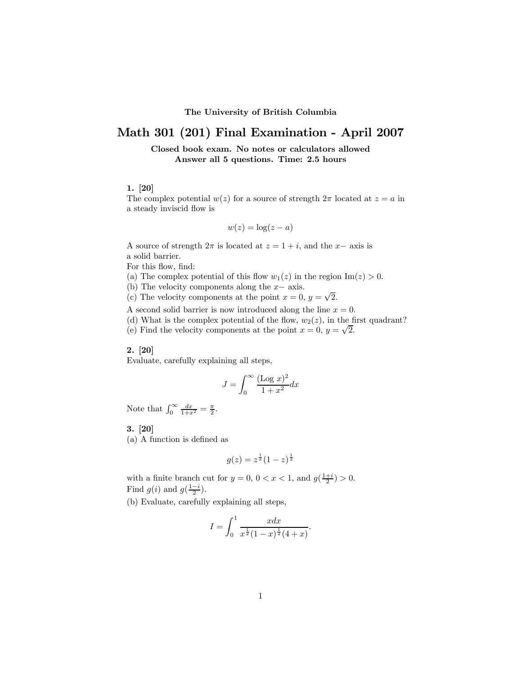#### The University of British Columbia

# Math 301 (201) Final Examination - April 2007

Closed book exam. No notes or calculators allowed Answer all 5 questions. Time: 2.5 hours

# 1. [20]

The complex potential  $w(z)$  for a source of strength  $2\pi$  located at  $z = a$  in a steady inviscid flow is

$$
w(z) = \log(z - a)
$$

A source of strength  $2\pi$  is located at  $z = 1 + i$ , and the x– axis is a solid barrier.

For this flow, find:

(a) The complex potential of this flow  $w_1(z)$  in the region  $\text{Im}(z) > 0$ .

(b) The velocity components along the  $x-$  axis.

(c) The velocity components at the point  $x = 0$ ,  $y = \sqrt{2}$ .

A second solid barrier is now introduced along the line  $x = 0$ .

(d) What is the complex potential of the flow,  $w_2(z)$ , in the first quadrant?

(e) Find the velocity components at the point  $x = 0$ ,  $y = \sqrt{2}$ .

#### 2. [20]

Evaluate, carefully explaining all steps,

$$
J = \int_0^\infty \frac{(\text{Log } x)^2}{1 + x^2} dx
$$

Note that  $\int_0^\infty \frac{dx}{1+x^2} = \frac{\pi}{2}$ .

## 3. [20]

(a) A function is defined as

$$
g(z) = z^{\frac{1}{2}} (1 - z)^{\frac{1}{2}}
$$

with a finite branch cut for  $y = 0$ ,  $0 < x < 1$ , and  $g(\frac{1+i}{2}) > 0$ . Find  $g(i)$  and  $g(\frac{1-i}{2})$ .

(b) Evaluate, carefully explaining all steps,

$$
I = \int_0^1 \frac{x dx}{x^{\frac{1}{2}} (1-x)^{\frac{1}{2}} (4+x)}.
$$